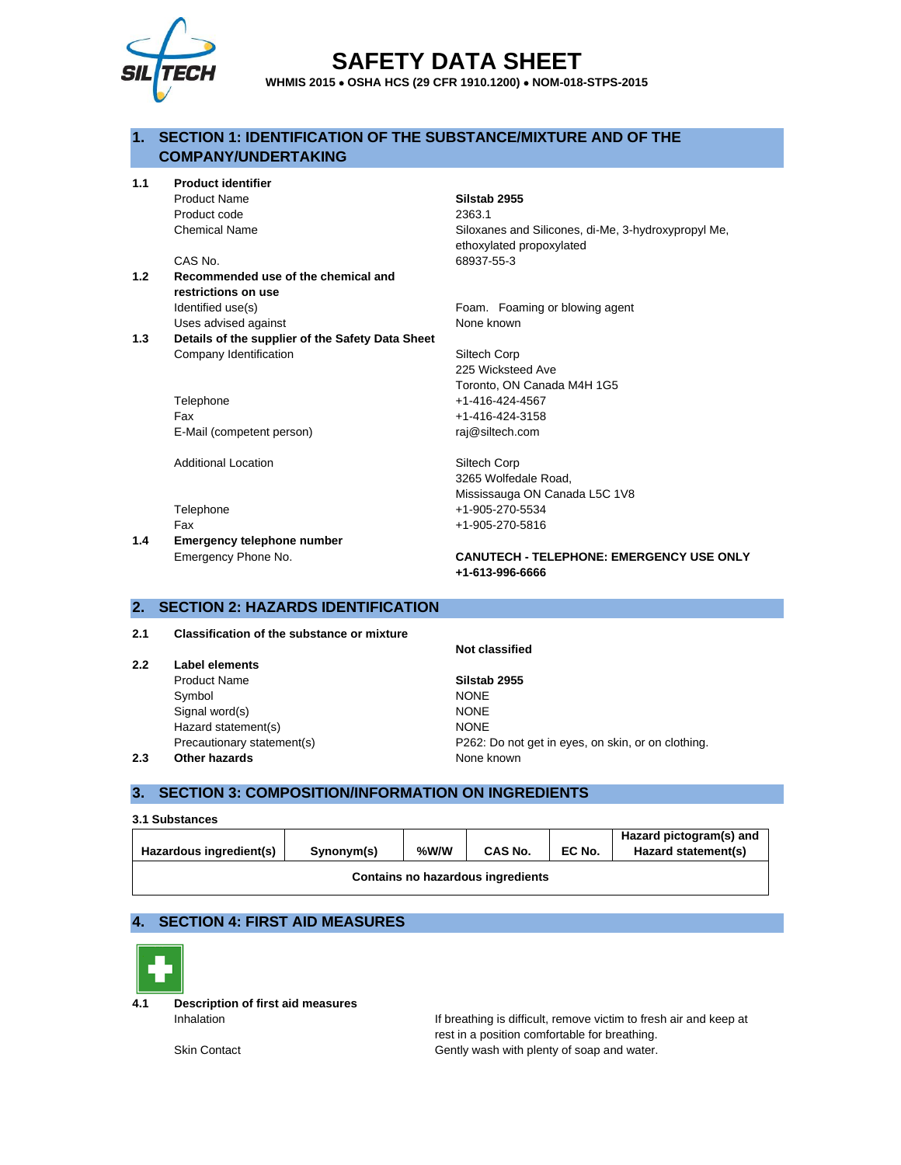

# **SAFETY DATA SHEET**

**WHMIS 2015** • **OSHA HCS (29 CFR 1910.1200)** • **NOM-018-STPS-2015**

### **1. SECTION 1: IDENTIFICATION OF THE SUBSTANCE/MIXTURE AND OF THE COMPANY/UNDERTAKING**

**1.1 Product identifier**

Product code 2363.1

- **1.2 Recommended use of the chemical and restrictions on use** Identified use(s) The Community of the Foam. Foaming or blowing agent Uses advised against None known
- **1.3 Details of the supplier of the Safety Data Sheet** Company Identification Siltech Corp

Telephone +1-416-424-4567 Fax +1-416-424-3158 E-Mail (competent person) raj@siltech.com

Additional Location **Siltech Corp** 

**1.4 Emergency telephone number**

Product Name **Silstab 2955**

Chemical Name Siloxanes and Silicones, di-Me, 3-hydroxypropyl Me, ethoxylated propoxylated CAS No. 68937-55-3

225 Wicksteed Ave Toronto, ON Canada M4H 1G5

3265 Wolfedale Road, Mississauga ON Canada L5C 1V8 Telephone +1-905-270-5534 Fax +1-905-270-5816

Emergency Phone No. **CANUTECH - TELEPHONE: EMERGENCY USE ONLY +1-613-996-6666**

### **2. SECTION 2: HAZARDS IDENTIFICATION**

**2.1 Classification of the substance or mixture**

- **2.2 Label elements**
	- Product Name **Silstab 2955** Symbol NONE Signal word(s) NONE Hazard statement(s) NONE

**Not classified**

Precautionary statement(s) P262: Do not get in eyes, on skin, or on clothing. **2.3 Other hazards None known** 

### **3. SECTION 3: COMPOSITION/INFORMATION ON INGREDIENTS**

| 3.1 Substances                    |            |      |         |        |                                                |
|-----------------------------------|------------|------|---------|--------|------------------------------------------------|
| Hazardous ingredient(s)           | Synonym(s) | %W/W | CAS No. | EC No. | Hazard pictogram(s) and<br>Hazard statement(s) |
| Contains no hazardous ingredients |            |      |         |        |                                                |

### **4. SECTION 4: FIRST AID MEASURES**



**4.1 Description of first aid measures**

Inhalation Inhalation Internal If breathing is difficult, remove victim to fresh air and keep at rest in a position comfortable for breathing. Skin Contact **Gently wash with plenty of soap and water.**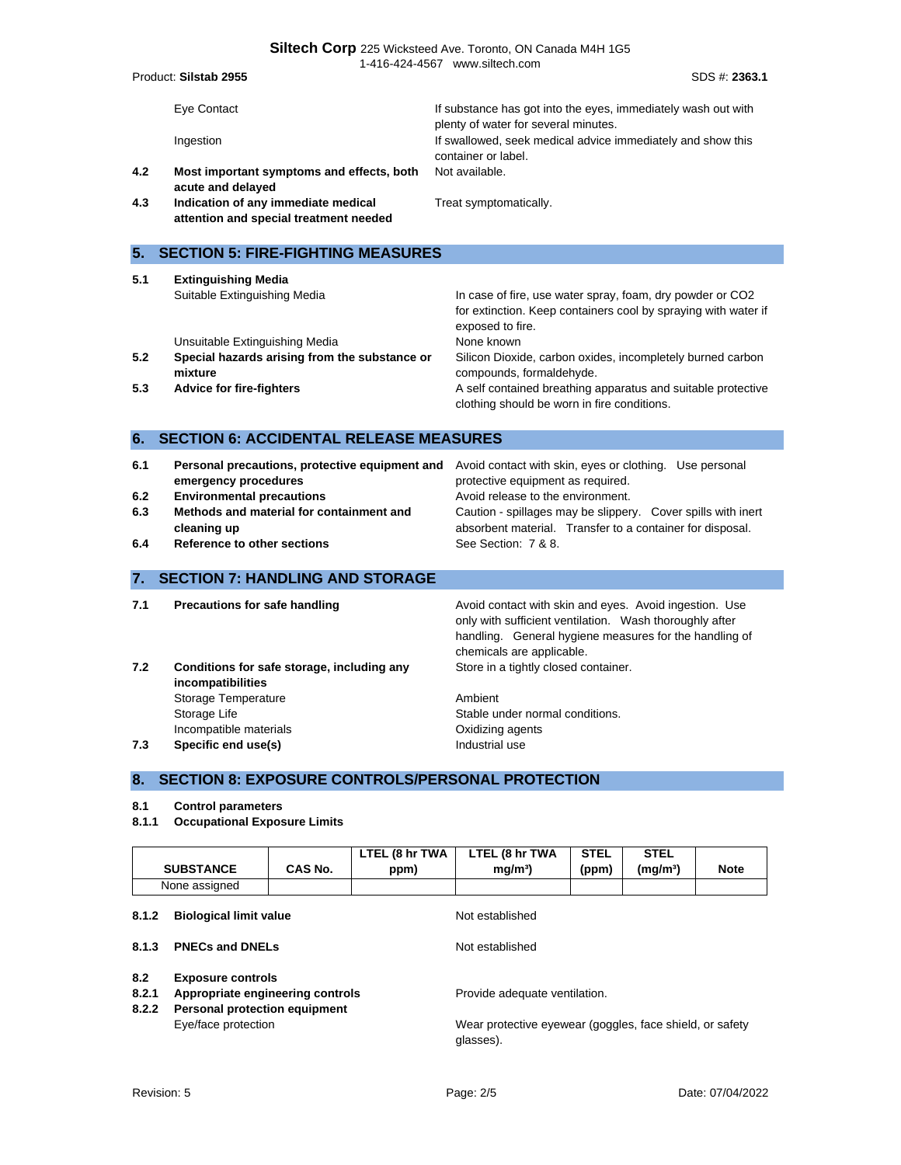| 1-416-424-4567 www.siltech.com               |                                                                                             |                                                                                                                                                                                                          |  |  |  |
|----------------------------------------------|---------------------------------------------------------------------------------------------|----------------------------------------------------------------------------------------------------------------------------------------------------------------------------------------------------------|--|--|--|
| Product: Silstab 2955<br>SDS #: 2363.1       |                                                                                             |                                                                                                                                                                                                          |  |  |  |
|                                              | Eye Contact                                                                                 | If substance has got into the eyes, immediately wash out with<br>plenty of water for several minutes.                                                                                                    |  |  |  |
|                                              | Ingestion                                                                                   | If swallowed, seek medical advice immediately and show this<br>container or label.                                                                                                                       |  |  |  |
| 4.2                                          | Most important symptoms and effects, both<br>acute and delayed                              | Not available.                                                                                                                                                                                           |  |  |  |
| 4.3                                          | Indication of any immediate medical<br>attention and special treatment needed               | Treat symptomatically.                                                                                                                                                                                   |  |  |  |
| 5.                                           | <b>SECTION 5: FIRE-FIGHTING MEASURES</b>                                                    |                                                                                                                                                                                                          |  |  |  |
| 5.1                                          | <b>Extinguishing Media</b><br>Suitable Extinguishing Media                                  | In case of fire, use water spray, foam, dry powder or CO2<br>for extinction. Keep containers cool by spraying with water if<br>exposed to fire.                                                          |  |  |  |
| 5.2                                          | Unsuitable Extinguishing Media<br>Special hazards arising from the substance or<br>mixture  | None known<br>Silicon Dioxide, carbon oxides, incompletely burned carbon<br>compounds, formaldehyde.                                                                                                     |  |  |  |
| 5.3                                          | <b>Advice for fire-fighters</b>                                                             | A self contained breathing apparatus and suitable protective<br>clothing should be worn in fire conditions.                                                                                              |  |  |  |
| 6.                                           | <b>SECTION 6: ACCIDENTAL RELEASE MEASURES</b>                                               |                                                                                                                                                                                                          |  |  |  |
| 6.1                                          | Personal precautions, protective equipment and<br>emergency procedures                      | Avoid contact with skin, eyes or clothing. Use personal<br>protective equipment as required.                                                                                                             |  |  |  |
| 6.2<br>6.3                                   | <b>Environmental precautions</b><br>Methods and material for containment and<br>cleaning up | Avoid release to the environment.<br>Caution - spillages may be slippery. Cover spills with inert<br>absorbent material. Transfer to a container for disposal.                                           |  |  |  |
| 6.4                                          | Reference to other sections                                                                 | See Section: 7 & 8.                                                                                                                                                                                      |  |  |  |
| <b>SECTION 7: HANDLING AND STORAGE</b><br>7. |                                                                                             |                                                                                                                                                                                                          |  |  |  |
| 7.1                                          | <b>Precautions for safe handling</b>                                                        | Avoid contact with skin and eyes. Avoid ingestion. Use<br>only with sufficient ventilation. Wash thoroughly after<br>handling. General hygiene measures for the handling of<br>chemicals are applicable. |  |  |  |
| 7.2                                          | Conditions for safe storage, including any<br>incompatibilities<br>Storage Temperature      | Store in a tightly closed container.<br>Ambient                                                                                                                                                          |  |  |  |
|                                              |                                                                                             |                                                                                                                                                                                                          |  |  |  |

Storage Life Stable under normal conditions. Incompatible materials **Incompatible materials COXID 7.3 Specific end use(s) Industrial use** 

### **8. SECTION 8: EXPOSURE CONTROLS/PERSONAL PROTECTION**

#### **8.1 Control parameters**

**8.1.1 Occupational Exposure Limits**

|                                        |                                                                                                      |                                                                       | LTEL (8 hr TWA  | LTEL (8 hr TWA                | <b>STEL</b> | <b>STEL</b>          |             |
|----------------------------------------|------------------------------------------------------------------------------------------------------|-----------------------------------------------------------------------|-----------------|-------------------------------|-------------|----------------------|-------------|
|                                        | <b>SUBSTANCE</b>                                                                                     | CAS No.                                                               | ppm)            | mg/m <sup>3</sup>             | (ppm)       | (mg/m <sup>3</sup> ) | <b>Note</b> |
| None assigned                          |                                                                                                      |                                                                       |                 |                               |             |                      |             |
| 8.1.2<br><b>Biological limit value</b> |                                                                                                      |                                                                       | Not established |                               |             |                      |             |
| 8.1.3                                  | <b>PNECs and DNELs</b>                                                                               |                                                                       |                 | Not established               |             |                      |             |
| 8.2<br>8.2.1<br>8.2.2                  | <b>Exposure controls</b><br>Appropriate engineering controls<br><b>Personal protection equipment</b> |                                                                       |                 | Provide adequate ventilation. |             |                      |             |
| Eye/face protection                    |                                                                                                      | Wear protective eyewear (goggles, face shield, or safety<br>glasses). |                 |                               |             |                      |             |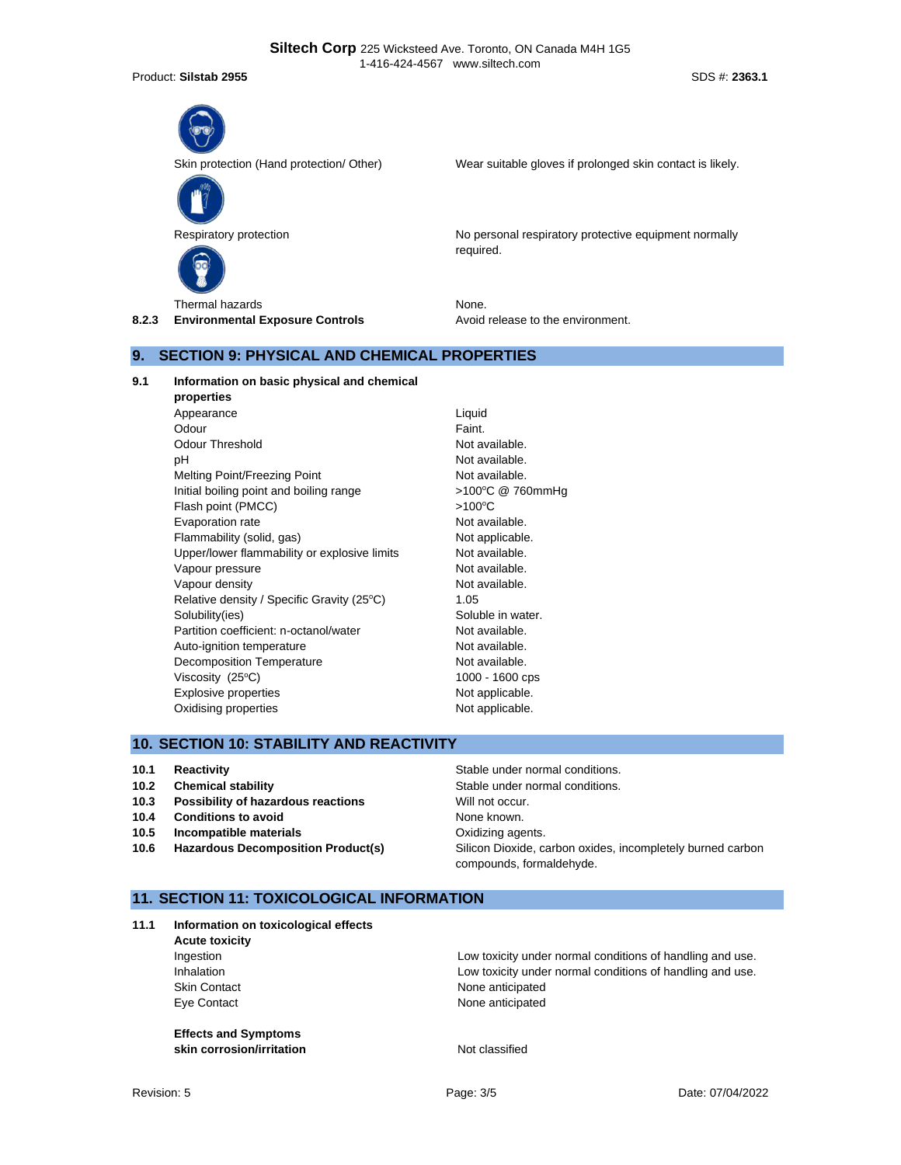Product: **Silstab 2955** SDS #: **2363.1**



Skin protection (Hand protection/ Other) Wear suitable gloves if prolonged skin contact is likely.



Respiratory protection **No personal respiratory protective equipment normally** No personal respiratory protective equipment normally required.

**8.2.3 Environmental Exposure Controls Avoid release to the environment.** 

### **9. SECTION 9: PHYSICAL AND CHEMICAL PROPERTIES**

**9.1 Information on basic physical and chemical**

**properties** Appearance Liquid Odour **Faint.** Odour Threshold Not available. pH Not available. Melting Point/Freezing Point Not available. Initial boiling point and boiling range  $>100^{\circ}C$  @ 760mmHg Flash point (PMCC)  $>100^{\circ}$ C Evaporation rate Not available. Flammability (solid, gas) Not applicable. Upper/lower flammability or explosive limits Not available. Vapour pressure and the Not available. Vapour density and the state of the Not available. Relative density / Specific Gravity (25°C) 1.05 Solubility(ies) Soluble in water. Partition coefficient: n-octanol/water Not available. Auto-ignition temperature Not available. Decomposition Temperature Not available. Viscosity  $(25^{\circ}C)$  1000 - 1600 cps Explosive properties Not applicable. Oxidising properties Not applicable.

### **10. SECTION 10: STABILITY AND REACTIVITY**

- 
- 
- **10.3 Possibility of hazardous reactions** Will not occur.
- **10.4 Conditions to avoid** None known.
- **10.5 Incompatible materials 10.5 Incompatible materials**
- 

**10.1 Reactivity 10.1 Reactivity Reactivity Reactivity Stable under normal conditions. 10.2 Chemical stability 10.2 Chemical stability Stable under normal conditions. 10.6 Hazardous Decomposition Product(s)** Silicon Dioxide, carbon oxides, incompletely burned carbon compounds, formaldehyde.

### **11. SECTION 11: TOXICOLOGICAL INFORMATION**

**11.1 Information on toxicological effects**

**Acute toxicity**

**Effects and Symptoms skin corrosion/irritation** Not classified

Ingestion Low toxicity under normal conditions of handling and use. Inhalation **Inhalation** Low toxicity under normal conditions of handling and use. Skin Contact **None anticipated** Eye Contact **None anticipated**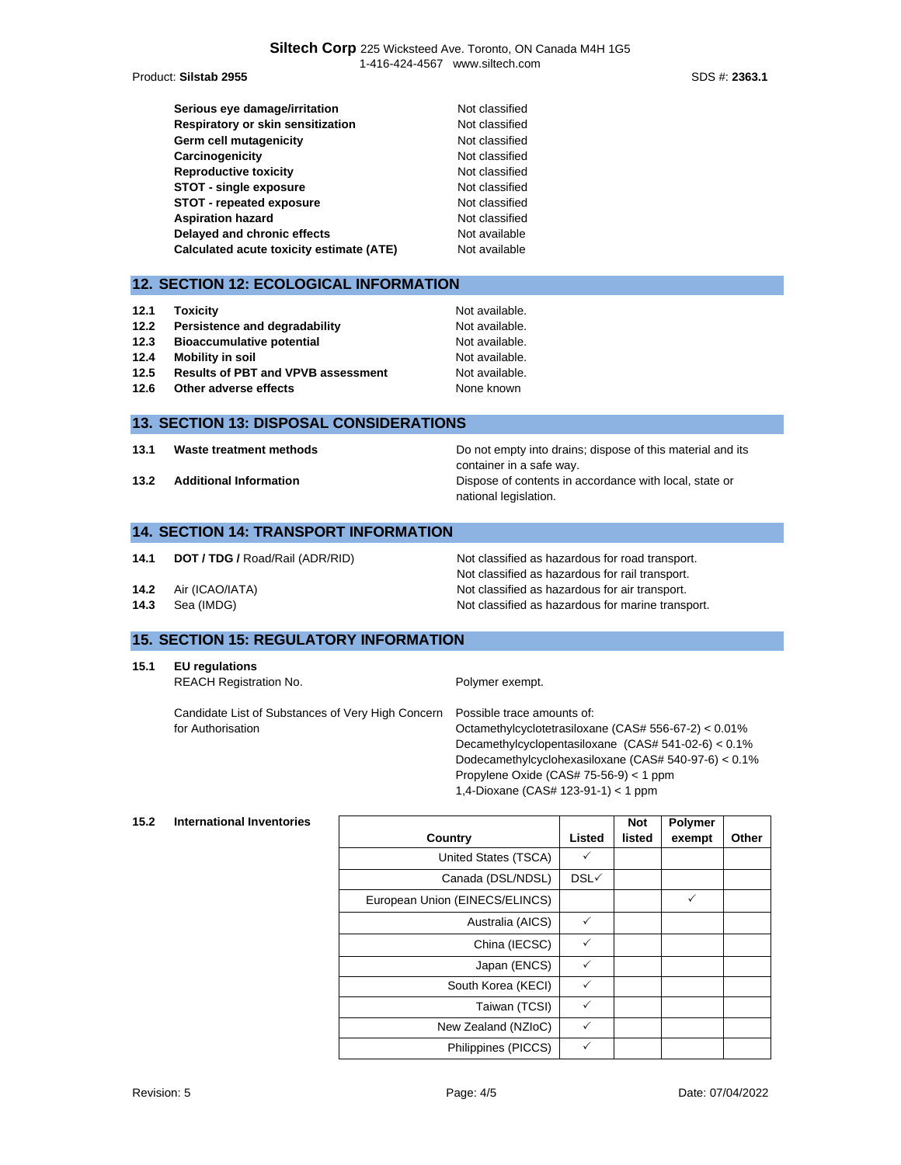Product: Silstab 2955

| Serious eye damage/irritation            | Not classified |
|------------------------------------------|----------------|
| Respiratory or skin sensitization        | Not classified |
| Germ cell mutagenicity                   | Not classified |
| Carcinogenicity                          | Not classified |
| <b>Reproductive toxicity</b>             | Not classified |
| <b>STOT - single exposure</b>            | Not classified |
| STOT - repeated exposure                 | Not classified |
| <b>Aspiration hazard</b>                 | Not classified |
| Delayed and chronic effects              | Not available  |
| Calculated acute toxicity estimate (ATE) | Not available  |

### **12. SECTION 12: ECOLOGICAL INFORMATION**

| 12.1 | <b>Toxicity</b>                           | Not available. |
|------|-------------------------------------------|----------------|
| 12.2 | Persistence and degradability             | Not available. |
| 12.3 | <b>Bioaccumulative potential</b>          | Not available. |
| 12.4 | Mobility in soil                          | Not available. |
| 12.5 | <b>Results of PBT and VPVB assessment</b> | Not available. |
| 12.6 | Other adverse effects                     | None known     |

#### **13. SECTION 13: DISPOSAL CONSIDERATIONS**

**13.1 Waste treatment methods Do not empty into drains; dispose of this material and its** container in a safe way. **13.2 Additional Information 13.2 Additional Information Dispose of contents in accordance with local, state or** national legislation.

#### **14. SECTION 14: TRANSPORT INFORMATION**

- **14.1 <b>DOT / TDG /** Road/Rail (ADR/RID) Not classified as hazardous for road transport.
- **14.2** Air (ICAO/IATA) Not classified as hazardous for air transport.
- **14.3** Sea (IMDG) **Not classified as hazardous for marine transport.**

## **15. SECTION 15: REGULATORY INFORMATION**

```
REACH Registration No. Polymer exempt.
```
for Authorisation

Candidate List of Substances of Very High Concern Possible trace amounts of: Octamethylcyclotetrasiloxane (CAS# 556-67-2) < 0.01% Decamethylcyclopentasiloxane (CAS# 541-02-6) < 0.1% Dodecamethylcyclohexasiloxane (CAS# 540-97-6) < 0.1% Propylene Oxide (CAS# 75-56-9) < 1 ppm 1,4-Dioxane (CAS# 123-91-1) < 1 ppm

Not classified as hazardous for rail transport.

#### **15.2 International Inventories**

|                                |              | <b>Not</b> | Polymer |       |
|--------------------------------|--------------|------------|---------|-------|
| Country                        | Listed       | listed     | exempt  | Other |
| United States (TSCA)           | ✓            |            |         |       |
| Canada (DSL/NDSL)              | DSL√         |            |         |       |
| European Union (EINECS/ELINCS) |              |            | ✓       |       |
| Australia (AICS)               | $\checkmark$ |            |         |       |
| China (IECSC)                  | $\checkmark$ |            |         |       |
| Japan (ENCS)                   | $\checkmark$ |            |         |       |
| South Korea (KECI)             | ✓            |            |         |       |
| Taiwan (TCSI)                  | $\checkmark$ |            |         |       |
| New Zealand (NZIoC)            | ✓            |            |         |       |
| Philippines (PICCS)            | ✓            |            |         |       |